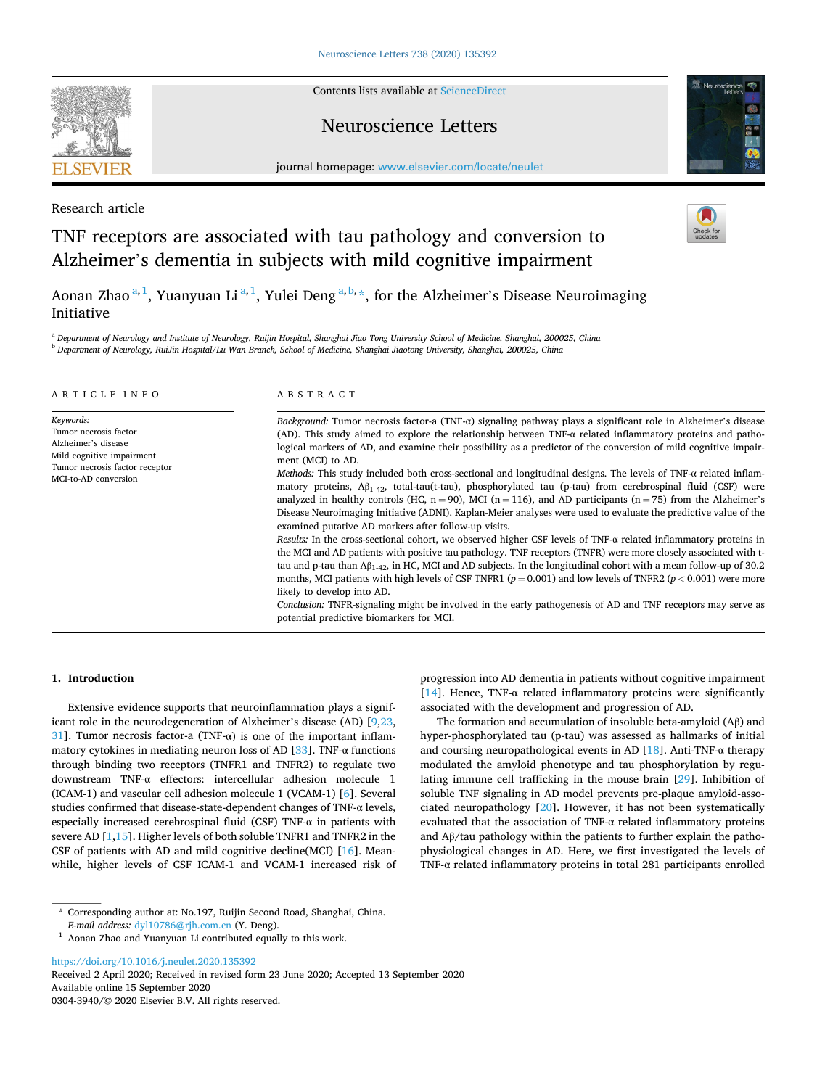Contents lists available at [ScienceDirect](www.sciencedirect.com/science/journal/03043940)

## Neuroscience Letters

journal homepage: [www.elsevier.com/locate/neulet](https://www.elsevier.com/locate/neulet)

Research article

# TNF receptors are associated with tau pathology and conversion to Alzheimer's dementia in subjects with mild cognitive impairment

Aonan Zhao<sup>a, 1</sup>, Yuanyuan Li<sup>a, 1</sup>, Yulei Deng<sup>a, b, \*</sup>, for the Alzheimer's Disease Neuroimaging Initiative

<sup>a</sup> *Department of Neurology and Institute of Neurology, Ruijin Hospital, Shanghai Jiao Tong University School of Medicine, Shanghai, 200025, China* <sup>b</sup> *Department of Neurology, RuiJin Hospital/Lu Wan Branch, School of Medicine, Shanghai Jiaotong University, Shanghai, 200025, China* 

#### ARTICLE INFO *Keywords:*  Tumor necrosis factor Alzheimer's disease Mild cognitive impairment Tumor necrosis factor receptor MCI-to-AD conversion ABSTRACT *Background:* Tumor necrosis factor-a (TNF-α) signaling pathway plays a significant role in Alzheimer's disease (AD). This study aimed to explore the relationship between TNF-α related inflammatory proteins and pathological markers of AD, and examine their possibility as a predictor of the conversion of mild cognitive impairment (MCI) to AD. *Methods:* This study included both cross-sectional and longitudinal designs. The levels of TNF-α related inflammatory proteins, Aβ1-42, total-tau(t-tau), phosphorylated tau (p-tau) from cerebrospinal fluid (CSF) were analyzed in healthy controls (HC,  $n = 90$ ), MCI ( $n = 116$ ), and AD participants ( $n = 75$ ) from the Alzheimer's Disease Neuroimaging Initiative (ADNI). Kaplan-Meier analyses were used to evaluate the predictive value of the examined putative AD markers after follow-up visits. *Results:* In the cross-sectional cohort, we observed higher CSF levels of TNF-α related inflammatory proteins in the MCI and AD patients with positive tau pathology. TNF receptors (TNFR) were more closely associated with ttau and p-tau than Aβ1-42, in HC, MCI and AD subjects. In the longitudinal cohort with a mean follow-up of 30.2 months, MCI patients with high levels of CSF TNFR1 ( $p = 0.001$ ) and low levels of TNFR2 ( $p < 0.001$ ) were more likely to develop into AD. *Conclusion:* TNFR-signaling might be involved in the early pathogenesis of AD and TNF receptors may serve as potential predictive biomarkers for MCI.

## **1. Introduction**

Extensive evidence supports that neuroinflammation plays a significant role in the neurodegeneration of Alzheimer's disease (AD) [[9,23](#page-4-0), [31\]](#page-4-0). Tumor necrosis factor-a (TNF- $\alpha$ ) is one of the important inflam-matory cytokines in mediating neuron loss of AD [\[33](#page-4-0)]. TNF- $\alpha$  functions through binding two receptors (TNFR1 and TNFR2) to regulate two downstream TNF-α effectors: intercellular adhesion molecule 1 (ICAM-1) and vascular cell adhesion molecule 1 (VCAM-1) [[6](#page-4-0)]. Several studies confirmed that disease-state-dependent changes of TNF-α levels, especially increased cerebrospinal fluid (CSF) TNF- $\alpha$  in patients with severe AD [[1,15](#page-4-0)]. Higher levels of both soluble TNFR1 and TNFR2 in the CSF of patients with AD and mild cognitive decline(MCI) [\[16](#page-4-0)]. Meanwhile, higher levels of CSF ICAM-1 and VCAM-1 increased risk of

\* Corresponding author at: No.197, Ruijin Second Road, Shanghai, China.

Available online 15 September 2020 0304-3940/© 2020 Elsevier B.V. All rights reserved. <https://doi.org/10.1016/j.neulet.2020.135392> Received 2 April 2020; Received in revised form 23 June 2020; Accepted 13 September 2020

progression into AD dementia in patients without cognitive impairment [[14\]](#page-4-0). Hence, TNF- $\alpha$  related inflammatory proteins were significantly associated with the development and progression of AD.

The formation and accumulation of insoluble beta-amyloid (Aβ) and hyper-phosphorylated tau (p-tau) was assessed as hallmarks of initial and coursing neuropathological events in AD  $[18]$  $[18]$ . Anti-TNF- $\alpha$  therapy modulated the amyloid phenotype and tau phosphorylation by regulating immune cell trafficking in the mouse brain [\[29](#page-4-0)]. Inhibition of soluble TNF signaling in AD model prevents pre-plaque amyloid-associated neuropathology [[20\]](#page-4-0). However, it has not been systematically evaluated that the association of TNF-α related inflammatory proteins and Aβ/tau pathology within the patients to further explain the pathophysiological changes in AD. Here, we first investigated the levels of TNF-α related inflammatory proteins in total 281 participants enrolled







<sup>&</sup>lt;sup>1</sup> Aonan Zhao and Yuanyuan Li contributed equally to this work.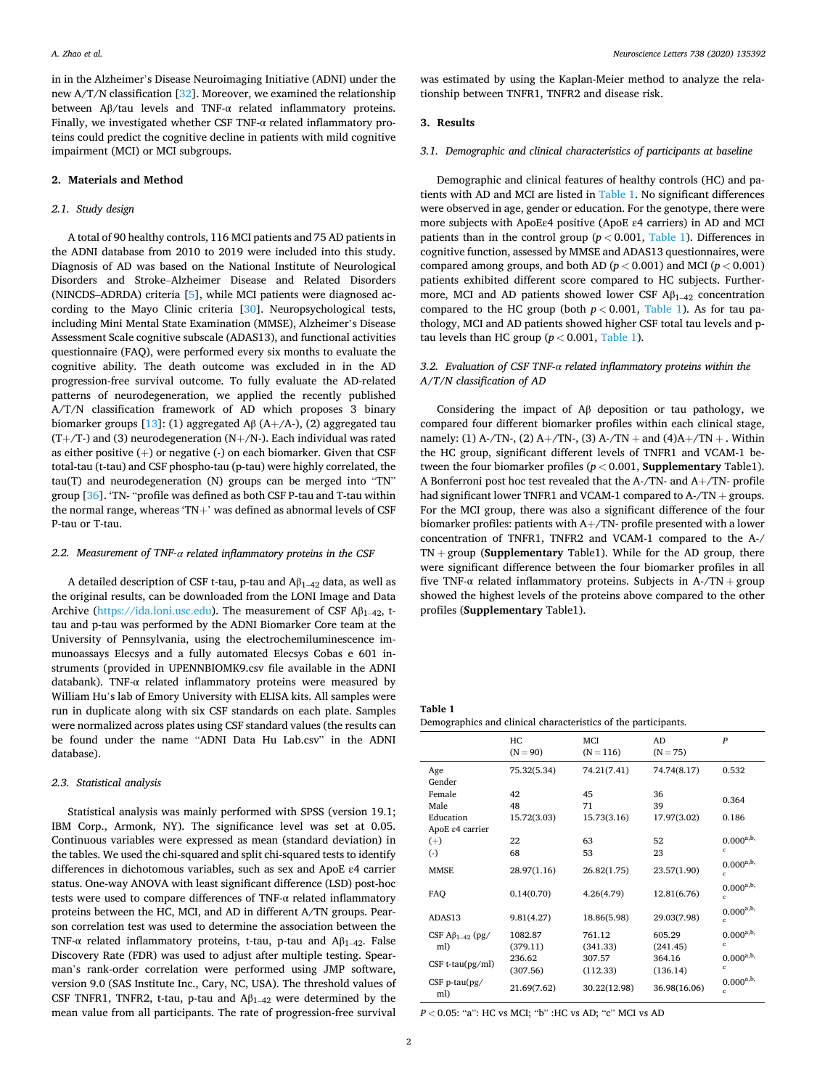in in the Alzheimer's Disease Neuroimaging Initiative (ADNI) under the new A/T/N classification [[32\]](#page-4-0). Moreover, we examined the relationship between Aβ/tau levels and TNF-α related inflammatory proteins. Finally, we investigated whether CSF TNF-α related inflammatory proteins could predict the cognitive decline in patients with mild cognitive impairment (MCI) or MCI subgroups.

#### **2. Materials and Method**

#### *2.1. Study design*

A total of 90 healthy controls, 116 MCI patients and 75 AD patients in the ADNI database from 2010 to 2019 were included into this study. Diagnosis of AD was based on the National Institute of Neurological Disorders and Stroke–Alzheimer Disease and Related Disorders (NINCDS–ADRDA) criteria [[5](#page-4-0)], while MCI patients were diagnosed according to the Mayo Clinic criteria [[30\]](#page-4-0). Neuropsychological tests, including Mini Mental State Examination (MMSE), Alzheimer's Disease Assessment Scale cognitive subscale (ADAS13), and functional activities questionnaire (FAQ), were performed every six months to evaluate the cognitive ability. The death outcome was excluded in in the AD progression-free survival outcome. To fully evaluate the AD-related patterns of neurodegeneration, we applied the recently published A/T/N classification framework of AD which proposes 3 binary biomarker groups [\[13](#page-4-0)]: (1) aggregated A $\beta$  (A+/A-), (2) aggregated tau  $(T+$ /T-) and (3) neurodegeneration (N+/N-). Each individual was rated as either positive (+) or negative (-) on each biomarker. Given that CSF total-tau (t-tau) and CSF phospho-tau (p-tau) were highly correlated, the tau(T) and neurodegeneration (N) groups can be merged into "TN" group [\[36](#page-5-0)]. 'TN- "profile was defined as both CSF P-tau and T-tau within the normal range, whereas 'TN+' was defined as abnormal levels of CSF P-tau or T-tau.

### *2.2. Measurement of TNF-α related inflammatory proteins in the CSF*

A detailed description of CSF t-tau, p-tau and  $A\beta_{1-42}$  data, as well as the original results, can be downloaded from the LONI Image and Data Archive (<https://ida.loni.usc.edu>). The measurement of CSF  $A\beta_{1-42}$ , ttau and p-tau was performed by the ADNI Biomarker Core team at the University of Pennsylvania, using the electrochemiluminescence immunoassays Elecsys and a fully automated Elecsys Cobas e 601 instruments (provided in UPENNBIOMK9.csv file available in the ADNI databank). TNF-α related inflammatory proteins were measured by William Hu's lab of Emory University with ELISA kits. All samples were run in duplicate along with six CSF standards on each plate. Samples were normalized across plates using CSF standard values (the results can be found under the name "ADNI Data Hu Lab.csv" in the ADNI database).

#### *2.3. Statistical analysis*

Statistical analysis was mainly performed with SPSS (version 19.1; IBM Corp., Armonk, NY). The significance level was set at 0.05. Continuous variables were expressed as mean (standard deviation) in the tables. We used the chi-squared and split chi-squared tests to identify differences in dichotomous variables, such as sex and ApoE ε4 carrier status. One-way ANOVA with least significant difference (LSD) post-hoc tests were used to compare differences of TNF-α related inflammatory proteins between the HC, MCI, and AD in different A/TN groups. Pearson correlation test was used to determine the association between the TNF- $\alpha$  related inflammatory proteins, t-tau, p-tau and A $\beta_{1-42}$ . False Discovery Rate (FDR) was used to adjust after multiple testing. Spearman's rank-order correlation were performed using JMP software, version 9.0 (SAS Institute Inc., Cary, NC, USA). The threshold values of CSF TNFR1, TNFR2, t-tau, p-tau and  $A\beta_{1-42}$  were determined by the mean value from all participants. The rate of progression-free survival

was estimated by using the Kaplan-Meier method to analyze the relationship between TNFR1, TNFR2 and disease risk.

## **3. Results**

#### *3.1. Demographic and clinical characteristics of participants at baseline*

Demographic and clinical features of healthy controls (HC) and patients with AD and MCI are listed in Table 1. No significant differences were observed in age, gender or education. For the genotype, there were more subjects with ApoEε4 positive (ApoE ε4 carriers) in AD and MCI patients than in the control group (*p <* 0.001, Table 1). Differences in cognitive function, assessed by MMSE and ADAS13 questionnaires, were compared among groups, and both AD ( $p < 0.001$ ) and MCI ( $p < 0.001$ ) patients exhibited different score compared to HC subjects. Furthermore, MCI and AD patients showed lower CSF  $A\beta_{1-42}$  concentration compared to the HC group (both  $p < 0.001$ , Table 1). As for tau pathology, MCI and AD patients showed higher CSF total tau levels and ptau levels than HC group  $(p < 0.001,$  Table 1).

## *3.2. Evaluation of CSF TNF-α related inflammatory proteins within the A/T/N classification of AD*

Considering the impact of Aβ deposition or tau pathology, we compared four different biomarker profiles within each clinical stage, namely: (1) A-/TN-, (2) A+/TN-, (3) A-/TN + and (4)A+/TN + . Within the HC group, significant different levels of TNFR1 and VCAM-1 between the four biomarker profiles (*p <* 0.001, **Supplementary** Table1). A Bonferroni post hoc test revealed that the A-/TN- and A+/TN- profile had significant lower TNFR1 and VCAM-1 compared to A-/TN + groups. For the MCI group, there was also a significant difference of the four biomarker profiles: patients with A+/TN- profile presented with a lower concentration of TNFR1, TNFR2 and VCAM-1 compared to the A-/ TN + group (**Supplementary** Table1). While for the AD group, there were significant difference between the four biomarker profiles in all five TNF- $\alpha$  related inflammatory proteins. Subjects in A-/TN + group showed the highest levels of the proteins above compared to the other profiles (**Supplementary** Table1).

**Table 1**  Demographics and clinical characteristics of the participants.

|                                   | HC<br>$(N = 90)$ | MCI<br>$(N = 116)$ | A <sub>D</sub><br>$(N = 75)$ | $\boldsymbol{p}$               |
|-----------------------------------|------------------|--------------------|------------------------------|--------------------------------|
| Age                               | 75.32(5.34)      | 74.21(7.41)        | 74.74(8.17)                  | 0.532                          |
| Gender                            |                  |                    |                              |                                |
| Female                            | 42               | 45                 | 36                           |                                |
| Male                              | 48               | 71                 | 39                           | 0.364                          |
| Education                         | 15.72(3.03)      | 15.73(3.16)        | 17.97(3.02)                  | 0.186                          |
| ApoE ε4 carrier                   |                  |                    |                              |                                |
| $(+)$                             | 22               | 63                 | 52                           | $0.000^{a,b}$                  |
| $(\cdot)$                         | 68               | 53                 | 23                           | $\mathbf c$                    |
| <b>MMSE</b>                       | 28.97(1.16)      | 26.82(1.75)        | 23.57(1.90)                  | $0.000^{a,b,}$<br>$\mathbf{c}$ |
| FAO                               | 0.14(0.70)       | 4.26(4.79)         | 12.81(6.76)                  | $0.000^{a,b}$<br>Ċ             |
| ADAS <sub>13</sub>                | 9.81(4.27)       | 18.86(5.98)        | 29.03(7.98)                  | $0.000^{a,b,}$<br>$\mathbf c$  |
| CSF $\mathbf{A}\beta_{1-42}$ (pg/ | 1082.87          | 761.12             | 605.29                       | $0.000^{a,b,}$                 |
| ml)                               | (379.11)         | (341.33)           | (241.45)                     | $\mathbf c$                    |
|                                   | 236.62           | 307.57             | 364.16                       | $0.000^{a,b,}$                 |
| $CSF$ t-tau $(pg/ml)$             | (307.56)         | (112.33)           | (136.14)                     | c                              |
| $CSF$ p-tau $(pg)$<br>ml)         | 21.69(7.62)      | 30.22(12.98)       | 36.98(16.06)                 | $0.000^{a,b,}$<br>Ċ            |

*P <* 0.05: "a": HC vs MCI; "b" :HC vs AD; "c" MCI vs AD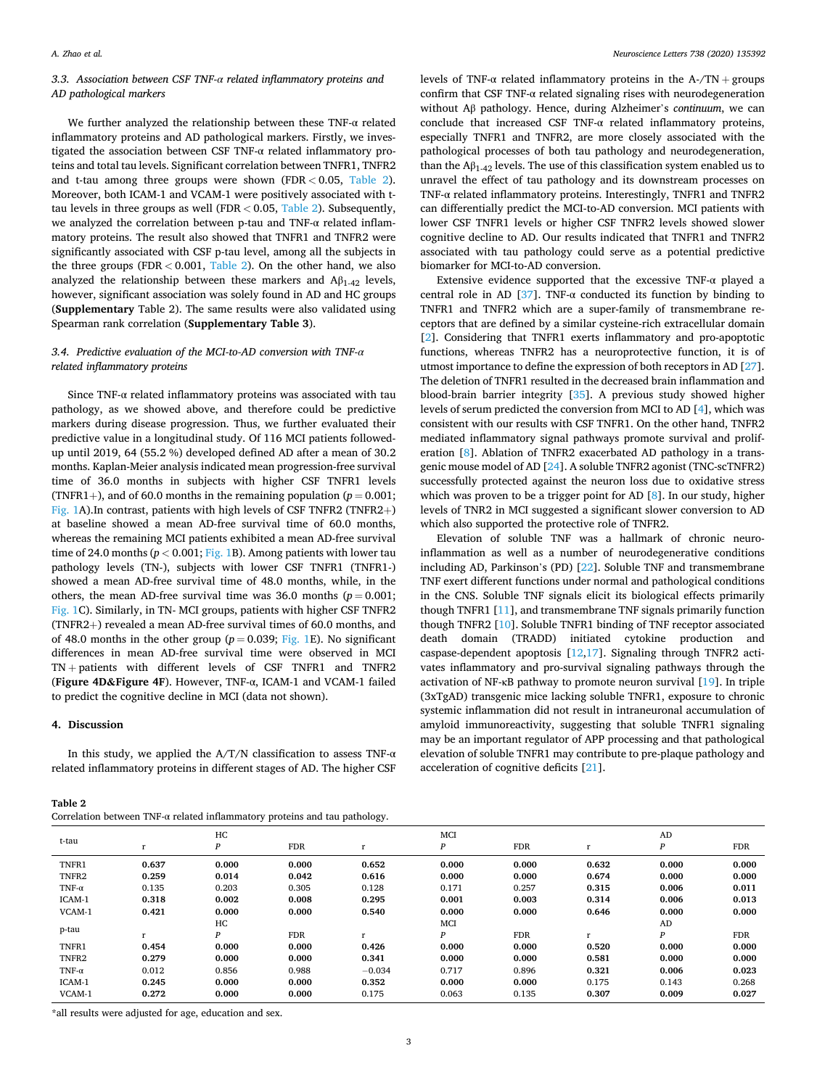## *3.3. Association between CSF TNF-α related inflammatory proteins and AD pathological markers*

We further analyzed the relationship between these TNF-α related inflammatory proteins and AD pathological markers. Firstly, we investigated the association between CSF TNF-α related inflammatory proteins and total tau levels. Significant correlation between TNFR1, TNFR2 and t-tau among three groups were shown (FDR *<* 0.05, Table 2). Moreover, both ICAM-1 and VCAM-1 were positively associated with ttau levels in three groups as well (FDR *<* 0.05, Table 2). Subsequently, we analyzed the correlation between p-tau and TNF-α related inflammatory proteins. The result also showed that TNFR1 and TNFR2 were significantly associated with CSF p-tau level, among all the subjects in the three groups (FDR *<* 0.001, Table 2). On the other hand, we also analyzed the relationship between these markers and  $A\beta_{1-42}$  levels, however, significant association was solely found in AD and HC groups (**Supplementary** Table 2). The same results were also validated using Spearman rank correlation (**Supplementary Table 3**).

## *3.4. Predictive evaluation of the MCI-to-AD conversion with TNF-α related inflammatory proteins*

Since TNF-α related inflammatory proteins was associated with tau pathology, as we showed above, and therefore could be predictive markers during disease progression. Thus, we further evaluated their predictive value in a longitudinal study. Of 116 MCI patients followedup until 2019, 64 (55.2 %) developed defined AD after a mean of 30.2 months. Kaplan-Meier analysis indicated mean progression-free survival time of 36.0 months in subjects with higher CSF TNFR1 levels (TNFR1+), and of 60.0 months in the remaining population  $(p = 0.001;$ [Fig. 1A](#page-3-0)). In contrast, patients with high levels of CSF TNFR2 (TNFR2+) at baseline showed a mean AD-free survival time of 60.0 months, whereas the remaining MCI patients exhibited a mean AD-free survival time of 24.0 months ( $p < 0.001$ ; [Fig. 1](#page-3-0)B). Among patients with lower tau pathology levels (TN-), subjects with lower CSF TNFR1 (TNFR1-) showed a mean AD-free survival time of 48.0 months, while, in the others, the mean AD-free survival time was 36.0 months ( $p = 0.001$ ; [Fig. 1](#page-3-0)C). Similarly, in TN- MCI groups, patients with higher CSF TNFR2 (TNFR2+) revealed a mean AD-free survival times of 60.0 months, and of 48.0 months in the other group ( $p = 0.039$ ; [Fig. 1](#page-3-0)E). No significant differences in mean AD-free survival time were observed in MCI TN + patients with different levels of CSF TNFR1 and TNFR2 (**Figure 4D&Figure 4F**). However, TNF-α, ICAM-1 and VCAM-1 failed to predict the cognitive decline in MCI (data not shown).

## **4. Discussion**

In this study, we applied the A/T/N classification to assess TNF- $\alpha$ related inflammatory proteins in different stages of AD. The higher CSF

| Table |  |
|-------|--|
|-------|--|

| Correlation between TNF-a related inflammatory proteins and tau pathology. |  |  |  |  |
|----------------------------------------------------------------------------|--|--|--|--|
|----------------------------------------------------------------------------|--|--|--|--|

levels of TNF-α related inflammatory proteins in the A-/TN + groups confirm that CSF TNF-α related signaling rises with neurodegeneration without Aβ pathology. Hence, during Alzheimer's *continuum*, we can conclude that increased CSF TNF-α related inflammatory proteins, especially TNFR1 and TNFR2, are more closely associated with the pathological processes of both tau pathology and neurodegeneration, than the  $A\beta_{1-42}$  levels. The use of this classification system enabled us to unravel the effect of tau pathology and its downstream processes on TNF-α related inflammatory proteins. Interestingly, TNFR1 and TNFR2 can differentially predict the MCI-to-AD conversion. MCI patients with lower CSF TNFR1 levels or higher CSF TNFR2 levels showed slower cognitive decline to AD. Our results indicated that TNFR1 and TNFR2 associated with tau pathology could serve as a potential predictive biomarker for MCI-to-AD conversion.

Extensive evidence supported that the excessive TNF-α played a central role in AD [\[37](#page-5-0)]. TNF- $\alpha$  conducted its function by binding to TNFR1 and TNFR2 which are a super-family of transmembrane receptors that are defined by a similar cysteine-rich extracellular domain [[2](#page-4-0)]. Considering that TNFR1 exerts inflammatory and pro-apoptotic functions, whereas TNFR2 has a neuroprotective function, it is of utmost importance to define the expression of both receptors in AD [\[27](#page-4-0)]. The deletion of TNFR1 resulted in the decreased brain inflammation and blood-brain barrier integrity [[35\]](#page-5-0). A previous study showed higher levels of serum predicted the conversion from MCI to AD [[4](#page-4-0)], which was consistent with our results with CSF TNFR1. On the other hand, TNFR2 mediated inflammatory signal pathways promote survival and proliferation [\[8\]](#page-4-0). Ablation of TNFR2 exacerbated AD pathology in a transgenic mouse model of AD [\[24](#page-4-0)]. A soluble TNFR2 agonist (TNC-scTNFR2) successfully protected against the neuron loss due to oxidative stress which was proven to be a trigger point for AD [\[8\]](#page-4-0). In our study, higher levels of TNR2 in MCI suggested a significant slower conversion to AD which also supported the protective role of TNFR2.

Elevation of soluble TNF was a hallmark of chronic neuroinflammation as well as a number of neurodegenerative conditions including AD, Parkinson's (PD) [[22\]](#page-4-0). Soluble TNF and transmembrane TNF exert different functions under normal and pathological conditions in the CNS. Soluble TNF signals elicit its biological effects primarily though TNFR1 [\[11](#page-4-0)], and transmembrane TNF signals primarily function though TNFR2 [[10\]](#page-4-0). Soluble TNFR1 binding of TNF receptor associated death domain (TRADD) initiated cytokine production and caspase-dependent apoptosis [\[12](#page-4-0),[17\]](#page-4-0). Signaling through TNFR2 activates inflammatory and pro-survival signaling pathways through the activation of NF-κB pathway to promote neuron survival [\[19](#page-4-0)]. In triple (3xTgAD) transgenic mice lacking soluble TNFR1, exposure to chronic systemic inflammation did not result in intraneuronal accumulation of amyloid immunoreactivity, suggesting that soluble TNFR1 signaling may be an important regulator of APP processing and that pathological elevation of soluble TNFR1 may contribute to pre-plaque pathology and acceleration of cognitive deficits [\[21](#page-4-0)].

| t-tau         |       | HC<br>P | <b>FDR</b> |           | MCI<br>P | <b>FDR</b> |       | AD<br>P | <b>FDR</b> |
|---------------|-------|---------|------------|-----------|----------|------------|-------|---------|------------|
| TNFR1         | 0.637 | 0.000   | 0.000      | 0.652     | 0.000    | 0.000      | 0.632 | 0.000   | 0.000      |
| TNFR2         | 0.259 | 0.014   | 0.042      | 0.616     | 0.000    | 0.000      | 0.674 | 0.000   | 0.000      |
| TNF- $\alpha$ | 0.135 | 0.203   | 0.305      | 0.128     | 0.171    | 0.257      | 0.315 | 0.006   | 0.011      |
| ICAM-1        | 0.318 | 0.002   | 0.008      | 0.295     | 0.001    | 0.003      | 0.314 | 0.006   | 0.013      |
| VCAM-1        | 0.421 | 0.000   | 0.000      | 0.540     | 0.000    | 0.000      | 0.646 | 0.000   | 0.000      |
|               |       | HC      |            |           | MCI      |            |       | AD      |            |
| p-tau         |       | P       | <b>FDR</b> | $\bullet$ | P        | <b>FDR</b> | r     | P       | <b>FDR</b> |
| TNFR1         | 0.454 | 0.000   | 0.000      | 0.426     | 0.000    | 0.000      | 0.520 | 0.000   | 0.000      |
| TNFR2         | 0.279 | 0.000   | 0.000      | 0.341     | 0.000    | 0.000      | 0.581 | 0.000   | 0.000      |
| TNF- $\alpha$ | 0.012 | 0.856   | 0.988      | $-0.034$  | 0.717    | 0.896      | 0.321 | 0.006   | 0.023      |
| ICAM-1        | 0.245 | 0.000   | 0.000      | 0.352     | 0.000    | 0.000      | 0.175 | 0.143   | 0.268      |
| VCAM-1        | 0.272 | 0.000   | 0.000      | 0.175     | 0.063    | 0.135      | 0.307 | 0.009   | 0.027      |

\*all results were adjusted for age, education and sex.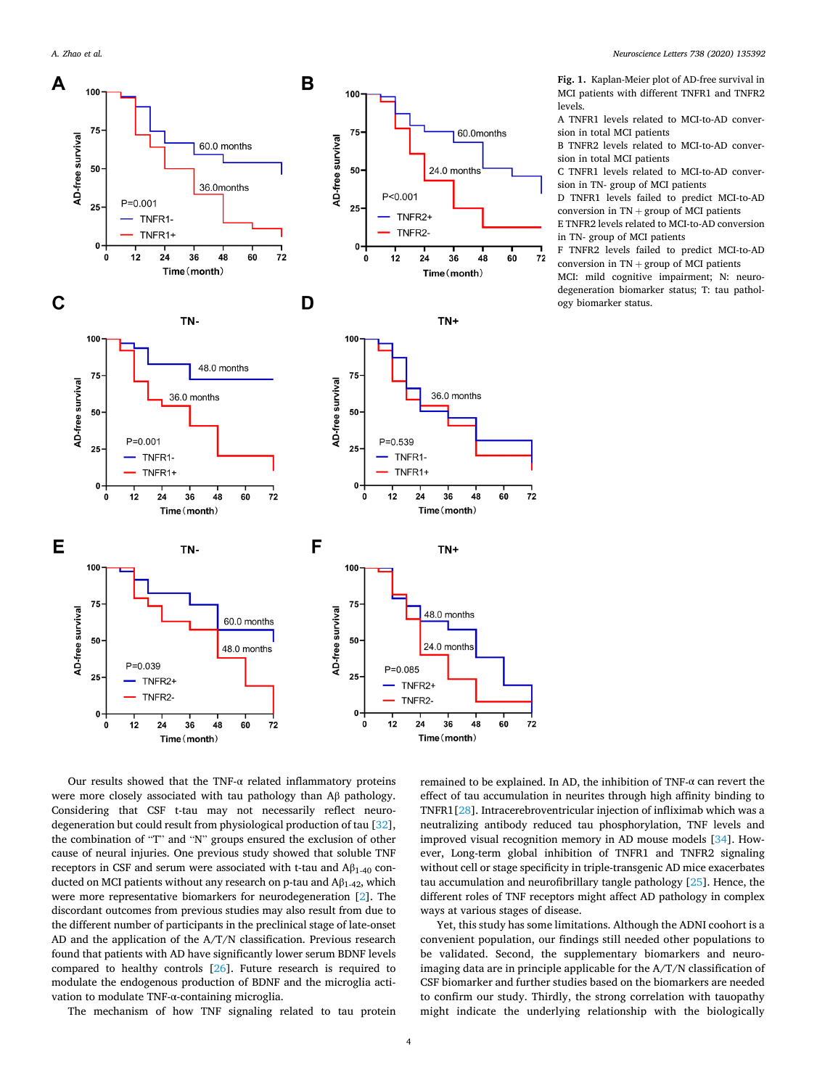<span id="page-3-0"></span>*A. Zhao et al.* 



**Fig. 1.** Kaplan-Meier plot of AD-free survival in MCI patients with different TNFR1 and TNFR2 levels.

A TNFR1 levels related to MCI-to-AD conversion in total MCI patients

B TNFR2 levels related to MCI-to-AD conversion in total MCI patients

C TNFR1 levels related to MCI-to-AD conversion in TN- group of MCI patients

D TNFR1 levels failed to predict MCI-to-AD conversion in  $TN +$  group of MCI patients

E TNFR2 levels related to MCI-to-AD conversion in TN- group of MCI patients

F TNFR2 levels failed to predict MCI-to-AD conversion in  $TN +$  group of MCI patients

MCI: mild cognitive impairment; N: neurodegeneration biomarker status; T: tau pathology biomarker status.

Our results showed that the TNF- $\alpha$  related inflammatory proteins were more closely associated with tau pathology than Aβ pathology. Considering that CSF t-tau may not necessarily reflect neurodegeneration but could result from physiological production of tau [\[32](#page-4-0)], the combination of "T" and "N" groups ensured the exclusion of other cause of neural injuries. One previous study showed that soluble TNF receptors in CSF and serum were associated with t-tau and  $A\beta_{1-40}$  conducted on MCI patients without any research on p-tau and  $A\beta_{1-42}$ , which were more representative biomarkers for neurodegeneration [\[2\]](#page-4-0). The discordant outcomes from previous studies may also result from due to the different number of participants in the preclinical stage of late-onset AD and the application of the A/T/N classification. Previous research found that patients with AD have significantly lower serum BDNF levels compared to healthy controls [[26\]](#page-4-0). Future research is required to modulate the endogenous production of BDNF and the microglia activation to modulate TNF-α-containing microglia.

The mechanism of how TNF signaling related to tau protein

remained to be explained. In AD, the inhibition of TNF-α can revert the effect of tau accumulation in neurites through high affinity binding to TNFR1[\[28](#page-4-0)]. Intracerebroventricular injection of infliximab which was a neutralizing antibody reduced tau phosphorylation, TNF levels and improved visual recognition memory in AD mouse models [\[34](#page-4-0)]. However, Long-term global inhibition of TNFR1 and TNFR2 signaling without cell or stage specificity in triple-transgenic AD mice exacerbates tau accumulation and neurofibrillary tangle pathology [\[25](#page-4-0)]. Hence, the different roles of TNF receptors might affect AD pathology in complex ways at various stages of disease.

Yet, this study has some limitations. Although the ADNI coohort is a convenient population, our findings still needed other populations to be validated. Second, the supplementary biomarkers and neuroimaging data are in principle applicable for the A/T/N classification of CSF biomarker and further studies based on the biomarkers are needed to confirm our study. Thirdly, the strong correlation with tauopathy might indicate the underlying relationship with the biologically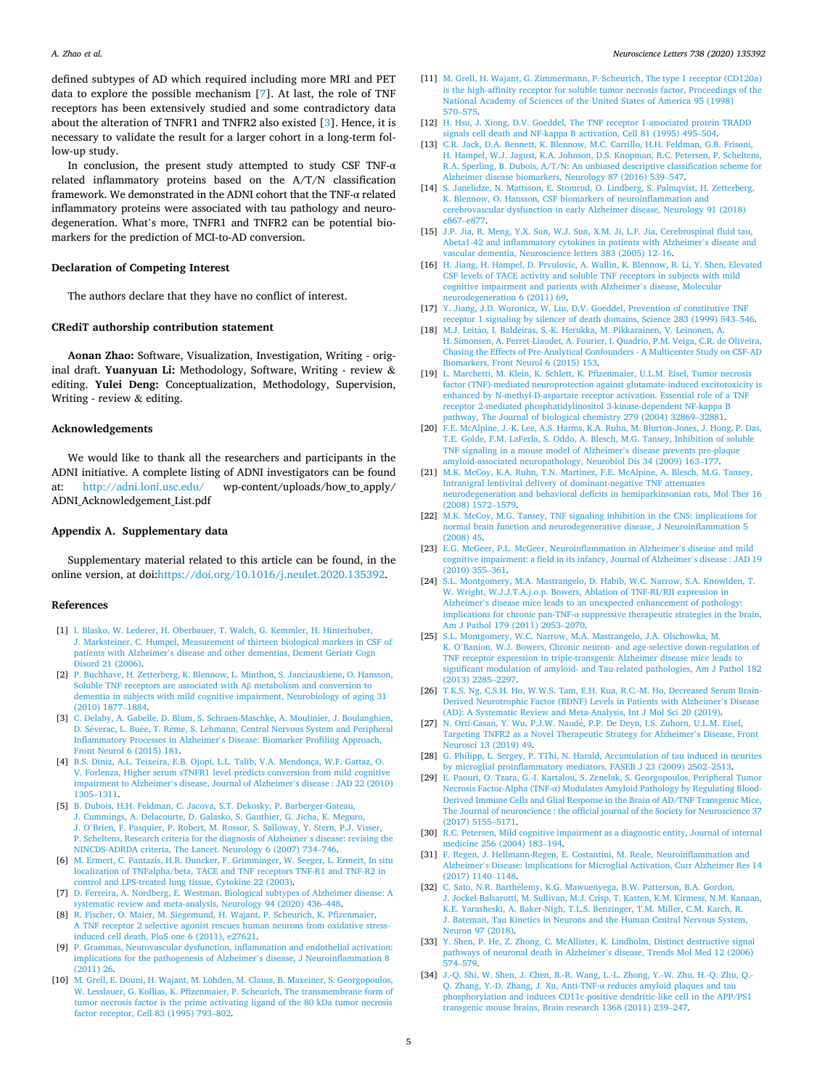<span id="page-4-0"></span>defined subtypes of AD which required including more MRI and PET data to explore the possible mechanism [7]. At last, the role of TNF receptors has been extensively studied and some contradictory data about the alteration of TNFR1 and TNFR2 also existed [3]. Hence, it is necessary to validate the result for a larger cohort in a long-term follow-up study.

In conclusion, the present study attempted to study CSF TNF- $\alpha$ related inflammatory proteins based on the A/T/N classification framework. We demonstrated in the ADNI cohort that the TNF-α related inflammatory proteins were associated with tau pathology and neurodegeneration. What's more, TNFR1 and TNFR2 can be potential biomarkers for the prediction of MCI-to-AD conversion.

### **Declaration of Competing Interest**

The authors declare that they have no conflict of interest.

### **CRediT authorship contribution statement**

**Aonan Zhao:** Software, Visualization, Investigation, Writing - original draft. **Yuanyuan Li:** Methodology, Software, Writing - review & editing. **Yulei Deng:** Conceptualization, Methodology, Supervision, Writing - review & editing.

## **Acknowledgements**

We would like to thank all the researchers and participants in the ADNI initiative. A complete listing of ADNI investigators can be found at: <http://adni.loni.usc.edu/> wp-content/uploads/how to apply/ ADNI\_Acknowledgement\_List.pdf

#### **Appendix A. Supplementary data**

Supplementary material related to this article can be found, in the online version, at doi[:https://doi.org/10.1016/j.neulet.2020.135392.](https://doi.org/10.1016/j.neulet.2020.135392)

#### **References**

- [1] [I. Blasko, W. Lederer, H. Oberbauer, T. Walch, G. Kemmler, H. Hinterhuber,](http://refhub.elsevier.com/S0304-3940(20)30662-5/sbref0005)  [J. Marksteiner, C. Humpel, Measurement of thirteen biological markers in CSF of](http://refhub.elsevier.com/S0304-3940(20)30662-5/sbref0005)  patients with Alzheimer'[s disease and other dementias, Dement Geriatr Cogn](http://refhub.elsevier.com/S0304-3940(20)30662-5/sbref0005)  [Disord 21 \(2006\)](http://refhub.elsevier.com/S0304-3940(20)30662-5/sbref0005).
- [2] [P. Buchhave, H. Zetterberg, K. Blennow, L. Minthon, S. Janciauskiene, O. Hansson,](http://refhub.elsevier.com/S0304-3940(20)30662-5/sbref0010)  [Soluble TNF receptors are associated with A](http://refhub.elsevier.com/S0304-3940(20)30662-5/sbref0010)β metabolism and conversion to [dementia in subjects with mild cognitive impairment, Neurobiology of aging 31](http://refhub.elsevier.com/S0304-3940(20)30662-5/sbref0010) [\(2010\) 1877](http://refhub.elsevier.com/S0304-3940(20)30662-5/sbref0010)–1884.
- [3] [C. Delaby, A. Gabelle, D. Blum, S. Schraen-Maschke, A. Moulinier, J. Boulanghien,](http://refhub.elsevier.com/S0304-3940(20)30662-5/sbref0015)  D. Séverac, L. Buée, T. Rème, S. Lehmann, Central Nervous System and Peripheral Inflammatory Processes in Alzheimer'[s Disease: Biomarker Profiling Approach,](http://refhub.elsevier.com/S0304-3940(20)30662-5/sbref0015)  [Front Neurol 6 \(2015\) 181](http://refhub.elsevier.com/S0304-3940(20)30662-5/sbref0015).
- [4] [B.S. Diniz, A.L. Teixeira, E.B. Ojopi, L.L. Talib, V.A. Mendonça, W.F. Gattaz, O.](http://refhub.elsevier.com/S0304-3940(20)30662-5/sbref0020) [V. Forlenza, Higher serum sTNFR1 level predicts conversion from mild cognitive](http://refhub.elsevier.com/S0304-3940(20)30662-5/sbref0020)  impairment to Alzheimer'[s disease, Journal of Alzheimer](http://refhub.elsevier.com/S0304-3940(20)30662-5/sbref0020)'s disease : JAD 22 (2010) 1305–[1311.](http://refhub.elsevier.com/S0304-3940(20)30662-5/sbref0020)
- [5] [B. Dubois, H.H. Feldman, C. Jacova, S.T. Dekosky, P. Barberger-Gateau,](http://refhub.elsevier.com/S0304-3940(20)30662-5/sbref0025) [J. Cummings, A. Delacourte, D. Galasko, S. Gauthier, G. Jicha, K. Meguro,](http://refhub.elsevier.com/S0304-3940(20)30662-5/sbref0025) J. O'[Brien, F. Pasquier, P. Robert, M. Rossor, S. Salloway, Y. Stern, P.J. Visser,](http://refhub.elsevier.com/S0304-3940(20)30662-5/sbref0025)  [P. Scheltens, Research criteria for the diagnosis of Alzheimer](http://refhub.elsevier.com/S0304-3940(20)30662-5/sbref0025)'s disease: revising the [NINCDS-ADRDA criteria, The Lancet. Neurology 6 \(2007\) 734](http://refhub.elsevier.com/S0304-3940(20)30662-5/sbref0025)–746.
- [6] [M. Ermert, C. Pantazis, H.R. Duncker, F. Grimminger, W. Seeger, L. Ermert, In situ](http://refhub.elsevier.com/S0304-3940(20)30662-5/sbref0030)  [localization of TNFalpha/beta, TACE and TNF receptors TNF-R1 and TNF-R2 in](http://refhub.elsevier.com/S0304-3940(20)30662-5/sbref0030) [control and LPS-treated lung tissue, Cytokine 22 \(2003\)](http://refhub.elsevier.com/S0304-3940(20)30662-5/sbref0030).
- [7] [D. Ferreira, A. Nordberg, E. Westman, Biological subtypes of Alzheimer disease: A](http://refhub.elsevier.com/S0304-3940(20)30662-5/sbref0035)  [systematic review and meta-analysis, Neurology 94 \(2020\) 436](http://refhub.elsevier.com/S0304-3940(20)30662-5/sbref0035)–448.
- [8] [R. Fischer, O. Maier, M. Siegemund, H. Wajant, P. Scheurich, K. Pfizenmaier,](http://refhub.elsevier.com/S0304-3940(20)30662-5/sbref0040)  [A TNF receptor 2 selective agonist rescues human neurons from oxidative stress](http://refhub.elsevier.com/S0304-3940(20)30662-5/sbref0040)[induced cell death, PloS one 6 \(2011\), e27621.](http://refhub.elsevier.com/S0304-3940(20)30662-5/sbref0040)
- [9] [P. Grammas, Neurovascular dysfunction, inflammation and endothelial activation:](http://refhub.elsevier.com/S0304-3940(20)30662-5/sbref0045)  [implications for the pathogenesis of Alzheimer](http://refhub.elsevier.com/S0304-3940(20)30662-5/sbref0045)'s disease, J Neuroinflammation 8 [\(2011\) 26](http://refhub.elsevier.com/S0304-3940(20)30662-5/sbref0045).
- [10] M. Grell, E. Douni, H. Wajant, M. Löhden, M. Clauss, B. Maxeiner, S. Georgopoulos, [W. Lesslauer, G. Kollias, K. Pfizenmaier, P. Scheurich, The transmembrane form of](http://refhub.elsevier.com/S0304-3940(20)30662-5/sbref0050)  [tumor necrosis factor is the prime activating ligand of the 80 kDa tumor necrosis](http://refhub.elsevier.com/S0304-3940(20)30662-5/sbref0050) [factor receptor, Cell 83 \(1995\) 793](http://refhub.elsevier.com/S0304-3940(20)30662-5/sbref0050)–802.
- [11] [M. Grell, H. Wajant, G. Zimmermann, P. Scheurich, The type 1 receptor \(CD120a\)](http://refhub.elsevier.com/S0304-3940(20)30662-5/sbref0055)  [is the high-affinity receptor for soluble tumor necrosis factor, Proceedings of the](http://refhub.elsevier.com/S0304-3940(20)30662-5/sbref0055)  [National Academy of Sciences of the United States of America 95 \(1998\)](http://refhub.elsevier.com/S0304-3940(20)30662-5/sbref0055) [570](http://refhub.elsevier.com/S0304-3940(20)30662-5/sbref0055)–575.
- [12] [H. Hsu, J. Xiong, D.V. Goeddel, The TNF receptor 1-associated protein TRADD](http://refhub.elsevier.com/S0304-3940(20)30662-5/sbref0060)  [signals cell death and NF-kappa B activation, Cell 81 \(1995\) 495](http://refhub.elsevier.com/S0304-3940(20)30662-5/sbref0060)–504.
- [13] [C.R. Jack, D.A. Bennett, K. Blennow, M.C. Carrillo, H.H. Feldman, G.B. Frisoni,](http://refhub.elsevier.com/S0304-3940(20)30662-5/sbref0065) [H. Hampel, W.J. Jagust, K.A. Johnson, D.S. Knopman, R.C. Petersen, P. Scheltens,](http://refhub.elsevier.com/S0304-3940(20)30662-5/sbref0065)  [R.A. Sperling, B. Dubois, A/T/N: An unbiased descriptive classification scheme for](http://refhub.elsevier.com/S0304-3940(20)30662-5/sbref0065)  [Alzheimer disease biomarkers, Neurology 87 \(2016\) 539](http://refhub.elsevier.com/S0304-3940(20)30662-5/sbref0065)–547.
- [14] [S. Janelidze, N. Mattsson, E. Stomrud, O. Lindberg, S. Palmqvist, H. Zetterberg,](http://refhub.elsevier.com/S0304-3940(20)30662-5/sbref0070) [K. Blennow, O. Hansson, CSF biomarkers of neuroinflammation and](http://refhub.elsevier.com/S0304-3940(20)30662-5/sbref0070) [cerebrovascular dysfunction in early Alzheimer disease, Neurology 91 \(2018\)](http://refhub.elsevier.com/S0304-3940(20)30662-5/sbref0070)  [e867](http://refhub.elsevier.com/S0304-3940(20)30662-5/sbref0070)–e877.
- [15] [J.P. Jia, R. Meng, Y.X. Sun, W.J. Sun, X.M. Ji, L.F. Jia, Cerebrospinal fluid tau,](http://refhub.elsevier.com/S0304-3940(20)30662-5/sbref0075) [Abeta1-42 and inflammatory cytokines in patients with Alzheimer](http://refhub.elsevier.com/S0304-3940(20)30662-5/sbref0075)'s disease and [vascular dementia, Neuroscience letters 383 \(2005\) 12](http://refhub.elsevier.com/S0304-3940(20)30662-5/sbref0075)–16.
- [16] [H. Jiang, H. Hampel, D. Prvulovic, A. Wallin, K. Blennow, R. Li, Y. Shen, Elevated](http://refhub.elsevier.com/S0304-3940(20)30662-5/sbref0080)  [CSF levels of TACE activity and soluble TNF receptors in subjects with mild](http://refhub.elsevier.com/S0304-3940(20)30662-5/sbref0080)  [cognitive impairment and patients with Alzheimer](http://refhub.elsevier.com/S0304-3940(20)30662-5/sbref0080)'s disease, Molecular [neurodegeneration 6 \(2011\) 69.](http://refhub.elsevier.com/S0304-3940(20)30662-5/sbref0080)
- [17] [Y. Jiang, J.D. Woronicz, W. Liu, D.V. Goeddel, Prevention of constitutive TNF](http://refhub.elsevier.com/S0304-3940(20)30662-5/sbref0085)  [receptor 1 signaling by silencer of death domains, Science 283 \(1999\) 543](http://refhub.elsevier.com/S0304-3940(20)30662-5/sbref0085)–546.
- [18] M.J. Leitão, I. Baldeiras, S.-K. Herukka, M. Pikkarainen, V. Leinonen, A. [H. Simonsen, A. Perret-Liaudet, A. Fourier, I. Quadrio, P.M. Veiga, C.R. de Oliveira,](http://refhub.elsevier.com/S0304-3940(20)30662-5/sbref0090)  [Chasing the Effects of Pre-Analytical Confounders - A Multicenter Study on CSF-AD](http://refhub.elsevier.com/S0304-3940(20)30662-5/sbref0090)  [Biomarkers, Front Neurol 6 \(2015\) 153](http://refhub.elsevier.com/S0304-3940(20)30662-5/sbref0090).
- [19] [L. Marchetti, M. Klein, K. Schlett, K. Pfizenmaier, U.L.M. Eisel, Tumor necrosis](http://refhub.elsevier.com/S0304-3940(20)30662-5/sbref0095) [factor \(TNF\)-mediated neuroprotection against glutamate-induced excitotoxicity is](http://refhub.elsevier.com/S0304-3940(20)30662-5/sbref0095)  [enhanced by N-methyl-D-aspartate receptor activation. Essential role of a TNF](http://refhub.elsevier.com/S0304-3940(20)30662-5/sbref0095) [receptor 2-mediated phosphatidylinositol 3-kinase-dependent NF-kappa B](http://refhub.elsevier.com/S0304-3940(20)30662-5/sbref0095)  [pathway, The Journal of biological chemistry 279 \(2004\) 32869](http://refhub.elsevier.com/S0304-3940(20)30662-5/sbref0095)–32881.
- [20] [F.E. McAlpine, J.-K. Lee, A.S. Harms, K.A. Ruhn, M. Blurton-Jones, J. Hong, P. Das,](http://refhub.elsevier.com/S0304-3940(20)30662-5/sbref0100)  [T.E. Golde, F.M. LaFerla, S. Oddo, A. Blesch, M.G. Tansey, Inhibition of soluble](http://refhub.elsevier.com/S0304-3940(20)30662-5/sbref0100) [TNF signaling in a mouse model of Alzheimer](http://refhub.elsevier.com/S0304-3940(20)30662-5/sbref0100)'s disease prevents pre-plaque [amyloid-associated neuropathology, Neurobiol Dis 34 \(2009\) 163](http://refhub.elsevier.com/S0304-3940(20)30662-5/sbref0100)–177.
- [21] [M.K. McCoy, K.A. Ruhn, T.N. Martinez, F.E. McAlpine, A. Blesch, M.G. Tansey,](http://refhub.elsevier.com/S0304-3940(20)30662-5/sbref0105) [Intranigral lentiviral delivery of dominant-negative TNF attenuates](http://refhub.elsevier.com/S0304-3940(20)30662-5/sbref0105) [neurodegeneration and behavioral deficits in hemiparkinsonian rats, Mol Ther 16](http://refhub.elsevier.com/S0304-3940(20)30662-5/sbref0105)  [\(2008\) 1572](http://refhub.elsevier.com/S0304-3940(20)30662-5/sbref0105)–1579.
- [22] [M.K. McCoy, M.G. Tansey, TNF signaling inhibition in the CNS: implications for](http://refhub.elsevier.com/S0304-3940(20)30662-5/sbref0110) [normal brain function and neurodegenerative disease, J Neuroinflammation 5](http://refhub.elsevier.com/S0304-3940(20)30662-5/sbref0110)  [\(2008\) 45.](http://refhub.elsevier.com/S0304-3940(20)30662-5/sbref0110)
- [23] [E.G. McGeer, P.L. McGeer, Neuroinflammation in Alzheimer](http://refhub.elsevier.com/S0304-3940(20)30662-5/sbref0115)'s disease and mild [cognitive impairment: a field in its infancy, Journal of Alzheimer](http://refhub.elsevier.com/S0304-3940(20)30662-5/sbref0115)'s disease : JAD 19 [\(2010\) 355](http://refhub.elsevier.com/S0304-3940(20)30662-5/sbref0115)–361.
- [24] [S.L. Montgomery, M.A. Mastrangelo, D. Habib, W.C. Narrow, S.A. Knowlden, T.](http://refhub.elsevier.com/S0304-3940(20)30662-5/sbref0120)  [W. Wright, W.J.J.T.A.j.o.p. Bowers, Ablation of TNF-RI/RII expression in](http://refhub.elsevier.com/S0304-3940(20)30662-5/sbref0120) Alzheimer's disease mice leads to an unexpected enhancement of pathology implications for chronic pan-TNF-α [suppressive therapeutic strategies in the brain,](http://refhub.elsevier.com/S0304-3940(20)30662-5/sbref0120)  [Am J Pathol 179 \(2011\) 2053](http://refhub.elsevier.com/S0304-3940(20)30662-5/sbref0120)–2070.
- [25] [S.L. Montgomery, W.C. Narrow, M.A. Mastrangelo, J.A. Olschowka, M.](http://refhub.elsevier.com/S0304-3940(20)30662-5/sbref0125)  K. O'[Banion, W.J. Bowers, Chronic neuron- and age-selective down-regulation of](http://refhub.elsevier.com/S0304-3940(20)30662-5/sbref0125) [TNF receptor expression in triple-transgenic Alzheimer disease mice leads to](http://refhub.elsevier.com/S0304-3940(20)30662-5/sbref0125) [significant modulation of amyloid- and Tau-related pathologies, Am J Pathol 182](http://refhub.elsevier.com/S0304-3940(20)30662-5/sbref0125) [\(2013\) 2285](http://refhub.elsevier.com/S0304-3940(20)30662-5/sbref0125)–2297.
- [26] [T.K.S. Ng, C.S.H. Ho, W.W.S. Tam, E.H. Kua, R.C.-M. Ho, Decreased Serum Brain-](http://refhub.elsevier.com/S0304-3940(20)30662-5/sbref0130)[Derived Neurotrophic Factor \(BDNF\) Levels in Patients with Alzheimer](http://refhub.elsevier.com/S0304-3940(20)30662-5/sbref0130)'s Disease [\(AD\): A Systematic Review and Meta-Analysis, Int J Mol Sci 20 \(2019\)](http://refhub.elsevier.com/S0304-3940(20)30662-5/sbref0130).
- [27] N. Ortí-Casañ, Y. Wu, P.J.W. Naudé, P.P. De Deyn, I.S. Zuhorn, U.L.M. Eisel, [Targeting TNFR2 as a Novel Therapeutic Strategy for Alzheimer](http://refhub.elsevier.com/S0304-3940(20)30662-5/sbref0135)'s Disease, Front [Neurosci 13 \(2019\) 49.](http://refhub.elsevier.com/S0304-3940(20)30662-5/sbref0135)
- [28] [G. Philipp, L. Sergey, P. TThi, N. Harald, Accumulation of tau induced in neurites](http://refhub.elsevier.com/S0304-3940(20)30662-5/sbref0140)  [by microglial proinflammatory mediators, FASEB J 23 \(2009\) 2502](http://refhub.elsevier.com/S0304-3940(20)30662-5/sbref0140)–2513.
- [29] [E. Paouri, O. Tzara, G.-I. Kartalou, S. Zenelak, S. Georgopoulos, Peripheral Tumor](http://refhub.elsevier.com/S0304-3940(20)30662-5/sbref0145)  Necrosis Factor-Alpha (TNF-α[\) Modulates Amyloid Pathology by Regulating Blood-](http://refhub.elsevier.com/S0304-3940(20)30662-5/sbref0145)[Derived Immune Cells and Glial Response in the Brain of AD/TNF Transgenic Mice,](http://refhub.elsevier.com/S0304-3940(20)30662-5/sbref0145)  [The Journal of neuroscience : the official journal of the Society for Neuroscience 37](http://refhub.elsevier.com/S0304-3940(20)30662-5/sbref0145)  [\(2017\) 5155](http://refhub.elsevier.com/S0304-3940(20)30662-5/sbref0145)–5171.
- [30] [R.C. Petersen, Mild cognitive impairment as a diagnostic entity, Journal of internal](http://refhub.elsevier.com/S0304-3940(20)30662-5/sbref0150)  [medicine 256 \(2004\) 183](http://refhub.elsevier.com/S0304-3940(20)30662-5/sbref0150)–194.
- [31] [F. Regen, J. Hellmann-Regen, E. Costantini, M. Reale, Neuroinflammation and](http://refhub.elsevier.com/S0304-3940(20)30662-5/sbref0155)  Alzheimer'[s Disease: Implications for Microglial Activation, Curr Alzheimer Res 14](http://refhub.elsevier.com/S0304-3940(20)30662-5/sbref0155)  [\(2017\) 1140](http://refhub.elsevier.com/S0304-3940(20)30662-5/sbref0155)–1148.
- [32] C. Sato, N.R. Barthélemy, K.G. Mawuenyega, B.W. Patterson, B.A. Gordon, [J. Jockel-Balsarotti, M. Sullivan, M.J. Crisp, T. Kasten, K.M. Kirmess, N.M. Kanaan,](http://refhub.elsevier.com/S0304-3940(20)30662-5/sbref0160)  [K.E. Yarasheski, A. Baker-Nigh, T.L.S. Benzinger, T.M. Miller, C.M. Karch, R.](http://refhub.elsevier.com/S0304-3940(20)30662-5/sbref0160) [J. Bateman, Tau Kinetics in Neurons and the Human Central Nervous System,](http://refhub.elsevier.com/S0304-3940(20)30662-5/sbref0160) [Neuron 97 \(2018\).](http://refhub.elsevier.com/S0304-3940(20)30662-5/sbref0160)
- [33] [Y. Shen, P. He, Z. Zhong, C. McAllister, K. Lindholm, Distinct destructive signal](http://refhub.elsevier.com/S0304-3940(20)30662-5/sbref0165)  [pathways of neuronal death in Alzheimer](http://refhub.elsevier.com/S0304-3940(20)30662-5/sbref0165)'s disease, Trends Mol Med 12 (2006) 574–[579.](http://refhub.elsevier.com/S0304-3940(20)30662-5/sbref0165)
- [34] [J.-Q. Shi, W. Shen, J. Chen, B.-R. Wang, L.-L. Zhong, Y.-W. Zhu, H.-Q. Zhu, Q.-](http://refhub.elsevier.com/S0304-3940(20)30662-5/sbref0170) [Q. Zhang, Y.-D. Zhang, J. Xu, Anti-TNF-](http://refhub.elsevier.com/S0304-3940(20)30662-5/sbref0170)α reduces amyloid plaques and tau [phosphorylation and induces CD11c-positive dendritic-like cell in the APP/PS1](http://refhub.elsevier.com/S0304-3940(20)30662-5/sbref0170)  [transgenic mouse brains, Brain research 1368 \(2011\) 239](http://refhub.elsevier.com/S0304-3940(20)30662-5/sbref0170)–247.